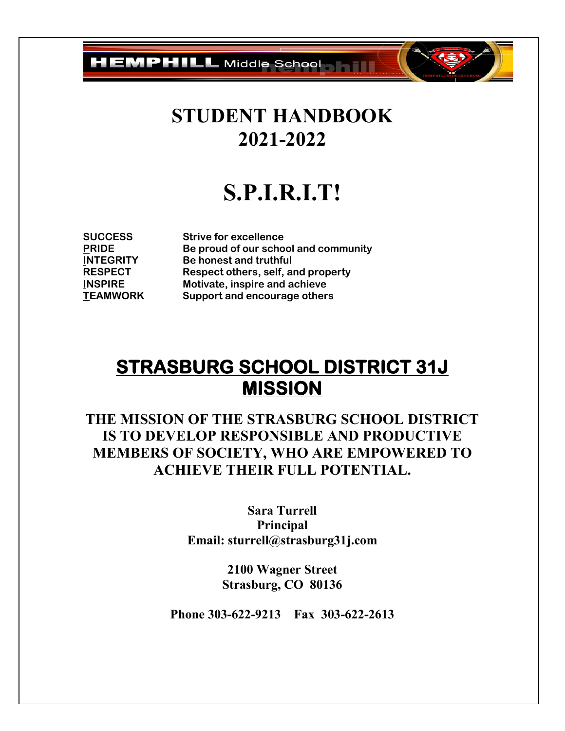**HEMPHILL** Middle School **Health** 

## **STUDENT HANDBOOK 2021-2022**

# **S.P.I.R.I.T!**

**SUCCESS Strive for excellence PRIDE Be proud of our school and community**<br> **Be honest and truthful Be honest and truthful RESPECT Respect others, self, and property INSPIRE Motivate, inspire and achieve TEAMWORK Support and encourage others**

### **STRASBURG SCHOOL DISTRICT 31J MISSION**

**THE MISSION OF THE STRASBURG SCHOOL DISTRICT IS TO DEVELOP RESPONSIBLE AND PRODUCTIVE MEMBERS OF SOCIETY, WHO ARE EMPOWERED TO ACHIEVE THEIR FULL POTENTIAL.**

> **Sara Turrell Principal Email: sturrell@strasburg31j.com**

> > **2100 Wagner Street Strasburg, CO 80136**

**Phone 303-622-9213 Fax 303-622-2613**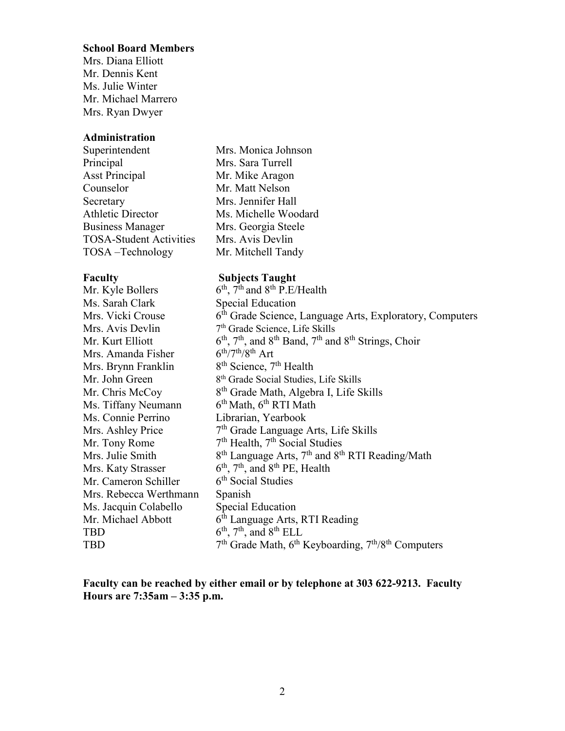#### **School Board Members**

Mrs. Diana Elliott Mr. Dennis Kent Ms. Julie Winter Mr. Michael Marrero Mrs. Ryan Dwyer

### **Administration**

Superintendent Mrs. Monica Johnson Principal Mrs. Sara Turrell Asst Principal Mr. Mike Aragon Counselor Mr. Matt Nelson Secretary Mrs. Jennifer Hall Athletic Director Ms. Michelle Woodard Business Manager Mrs. Georgia Steele TOSA-Student Activities Mrs. Avis Devlin TOSA –Technology Mr. Mitchell Tandy

**Faculty Subjects Taught**<br>Mr. Kyle Bollers 6<sup>th</sup>, 7<sup>th</sup> and 8<sup>th</sup> P.E/  $6<sup>th</sup>$ ,  $7<sup>th</sup>$  and  $8<sup>th</sup>$  P.E/Health Ms. Sarah Clark Special Education Mrs. Vicki Crouse  $6^{th}$  Grade Science, Language Arts, Exploratory, Computers Mrs. Avis Devlin  $7<sup>th</sup>$  Grade Science, Life Skills Mr. Kurt Elliott 6<sup>th</sup>, 7<sup>th</sup>, and 8<sup>th</sup> Band, 7<sup>th</sup> and 8<sup>th</sup> Strings, Choir<br>Mrs. Amanda Fisher 6<sup>th</sup>/7<sup>th</sup>/8<sup>th</sup> Art Mrs. Amanda Fisher Mrs. Brynn Franklin  $8<sup>th</sup>$  Science,  $7<sup>th</sup>$  Health Mr. John Green  $8<sup>th</sup>$  Grade Social Studies, Life Skills Mr. Chris McCoy  $8<sup>th</sup>$  Grade Math, Algebra I, Life Skills Ms. Tiffany Neumann  $6<sup>th</sup>$  Math,  $6<sup>th</sup>$  RTI Math Ms. Connie Perrino Librarian, Yearbook Mrs. Ashley Price  $7<sup>th</sup>$  Grade Language Arts, Life Skills Mr. Tony Rome  $7<sup>th</sup>$  Health,  $7<sup>th</sup>$  Social Studies Mrs. Julie Smith  $8^{th}$  Language Arts,  $7^{th}$  and  $8^{th}$  RTI Reading/Math Mrs. Katy Strasser  $6^{th}$ ,  $7^{th}$ , and  $8^{th}$  PE, Health Mr. Cameron Schiller  $6<sup>th</sup>$  Social Studies Mrs. Rebecca Werthmann Spanish Ms. Jacquin Colabello Special Education Mr. Michael Abbott  $6<sup>th</sup>$  Language Arts, RTI Reading TBD  $6<sup>th</sup>$ ,  $7<sup>th</sup>$ , and  $8<sup>th</sup>$  ELL TBD  $7<sup>th</sup>$  Grade Math,  $6<sup>th</sup>$  Keyboarding,  $7<sup>th</sup>/8<sup>th</sup>$  Computers

**Faculty can be reached by either email or by telephone at 303 622-9213. Faculty Hours are 7:35am – 3:35 p.m.**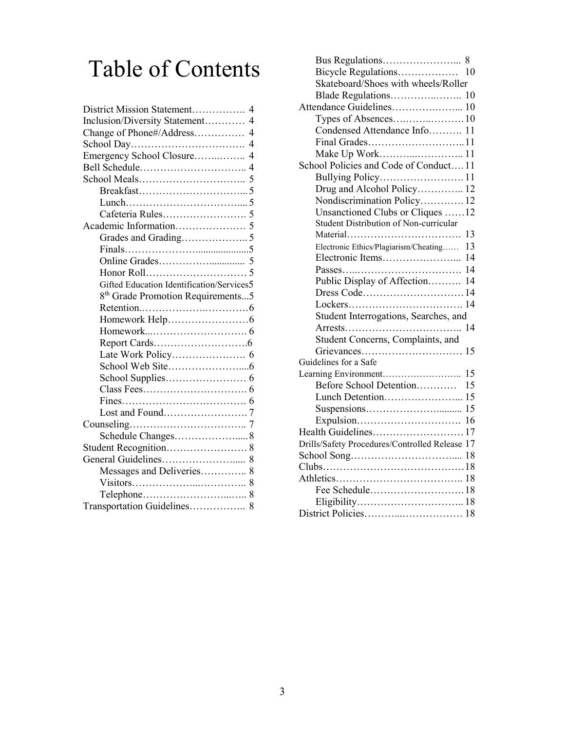# Table of Contents

| District Mission Statement<br>$\overline{\mathcal{A}}$ |
|--------------------------------------------------------|
| Inclusion/Diversity Statement<br>$\overline{4}$        |
| $\overline{4}$<br>Change of Phone#/Address             |
| $\overline{4}$                                         |
| Emergency School Closure<br>$\overline{4}$             |
|                                                        |
|                                                        |
|                                                        |
|                                                        |
|                                                        |
|                                                        |
|                                                        |
|                                                        |
|                                                        |
|                                                        |
| Gifted Education Identification/Services5              |
| 8 <sup>th</sup> Grade Promotion Requirements5          |
|                                                        |
|                                                        |
|                                                        |
|                                                        |
|                                                        |
|                                                        |
|                                                        |
|                                                        |
|                                                        |
|                                                        |
|                                                        |
| Schedule Changes 8                                     |
|                                                        |
|                                                        |
| Messages and Deliveries 8                              |
|                                                        |
|                                                        |
| Transportation Guidelines 8                            |
|                                                        |

| Skateboard/Shoes with wheels/Roller            |
|------------------------------------------------|
|                                                |
| Attendance Guidelines 10                       |
|                                                |
| Condensed Attendance Info 11                   |
| Final Grades11                                 |
| Make Up Work11                                 |
| School Policies and Code of Conduct 11         |
|                                                |
| Drug and Alcohol Policy 12                     |
| Nondiscrimination Policy 12                    |
| Unsanctioned Clubs or Cliques 12               |
| Student Distribution of Non-curricular         |
| 13<br>Material                                 |
| Electronic Ethics/Plagiarism/Cheating<br>13    |
| 14                                             |
| 14                                             |
| Public Display of Affection<br>14              |
| Dress Code 14                                  |
|                                                |
| Student Interrogations, Searches, and          |
| 14                                             |
| Student Concerns, Complaints, and              |
| Grievances<br>15                               |
| Guidelines for a Safe                          |
| 15<br>Learning Environment                     |
| Before School Detention<br>15                  |
| Lunch Detention 15                             |
|                                                |
|                                                |
| Health Guidelines17                            |
| Drills/Safety Procedures/Controlled Release 17 |
|                                                |
|                                                |
|                                                |
| Fee Schedule18                                 |
|                                                |
|                                                |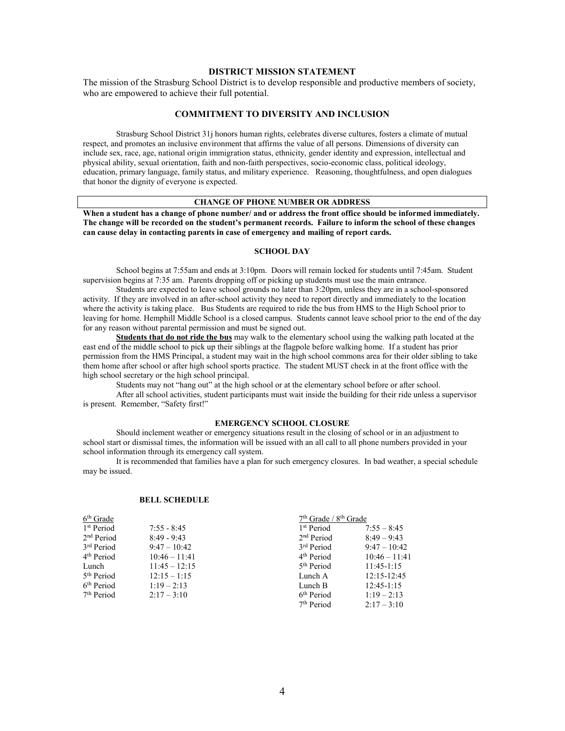#### **DISTRICT MISSION STATEMENT**

The mission of the Strasburg School District is to develop responsible and productive members of society, who are empowered to achieve their full potential.

#### **COMMITMENT TO DIVERSITY AND INCLUSION**

Strasburg School District 31j honors human rights, celebrates diverse cultures, fosters a climate of mutual respect, and promotes an inclusive environment that affirms the value of all persons. Dimensions of diversity can include sex, race, age, national origin immigration status, ethnicity, gender identity and expression, intellectual and physical ability, sexual orientation, faith and non-faith perspectives, socio-economic class, political ideology, education, primary language, family status, and military experience. Reasoning, thoughtfulness, and open dialogues that honor the dignity of everyone is expected.

#### **CHANGE OF PHONE NUMBER OR ADDRESS**

**When a student has a change of phone number/ and or address the front office should be informed immediately. The change will be recorded on the student's permanent records. Failure to inform the school of these changes can cause delay in contacting parents in case of emergency and mailing of report cards.**

#### **SCHOOL DAY**

School begins at 7:55am and ends at 3:10pm. Doors will remain locked for students until 7:45am. Student supervision begins at 7:35 am. Parents dropping off or picking up students must use the main entrance.

Students are expected to leave school grounds no later than 3:20pm, unless they are in a school-sponsored activity. If they are involved in an after-school activity they need to report directly and immediately to the location where the activity is taking place. Bus Students are required to ride the bus from HMS to the High School prior to leaving for home. Hemphill Middle School is a closed campus. Students cannot leave school prior to the end of the day for any reason without parental permission and must be signed out.

**Students that do not ride the bus** may walk to the elementary school using the walking path located at the east end of the middle school to pick up their siblings at the flagpole before walking home. If a student has prior permission from the HMS Principal, a student may wait in the high school commons area for their older sibling to take them home after school or after high school sports practice. The student MUST check in at the front office with the high school secretary or the high school principal.

Students may not "hang out" at the high school or at the elementary school before or after school.

After all school activities, student participants must wait inside the building for their ride unless a supervisor is present. Remember, "Safety first!"

#### **EMERGENCY SCHOOL CLOSURE**

Should inclement weather or emergency situations result in the closing of school or in an adjustment to school start or dismissal times, the information will be issued with an all call to all phone numbers provided in your school information through its emergency call system.

It is recommended that families have a plan for such emergency closures. In bad weather, a special schedule may be issued.

#### **BELL SCHEDULE**

| 6 <sup>th</sup> Grade  |                 | $7th$ Grade / $8th$ Grade |                 |
|------------------------|-----------------|---------------------------|-----------------|
| 1 <sup>st</sup> Period | $7:55 - 8:45$   | 1 <sup>st</sup> Period    | $7:55 - 8:45$   |
| 2 <sup>nd</sup> Period | $8:49 - 9:43$   | 2 <sup>nd</sup> Period    | $8:49 - 9:43$   |
| 3 <sup>rd</sup> Period | $9:47 - 10:42$  | 3 <sup>rd</sup> Period    | $9:47 - 10:42$  |
| 4 <sup>th</sup> Period | $10:46 - 11:41$ | 4 <sup>th</sup> Period    | $10:46 - 11:41$ |
| Lunch                  | $11:45 - 12:15$ | 5 <sup>th</sup> Period    | $11:45-1:15$    |
| 5 <sup>th</sup> Period | $12:15 - 1:15$  | Lunch A                   | 12:15-12:45     |
| 6 <sup>th</sup> Period | $1:19 - 2:13$   | Lunch B                   | $12:45-1:15$    |
| 7 <sup>th</sup> Period | $2:17 - 3:10$   | 6 <sup>th</sup> Period    | $1:19 - 2:13$   |
|                        |                 | 7 <sup>th</sup> Period    | $2:17 - 3:10$   |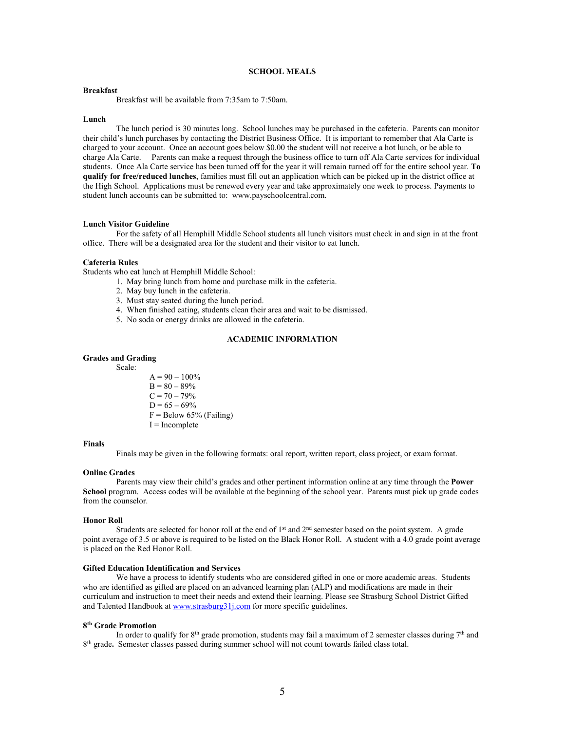#### **SCHOOL MEALS**

#### **Breakfast**

Breakfast will be available from 7:35am to 7:50am.

#### **Lunch**

The lunch period is 30 minutes long. School lunches may be purchased in the cafeteria. Parents can monitor their child's lunch purchases by contacting the District Business Office. It is important to remember that Ala Carte is charged to your account. Once an account goes below \$0.00 the student will not receive a hot lunch, or be able to charge Ala Carte. Parents can make a request through the business office to turn off Ala Carte services for individual students. Once Ala Carte service has been turned off for the year it will remain turned off for the entire school year. **To qualify for free/reduced lunches**, families must fill out an application which can be picked up in the district office at the High School. Applications must be renewed every year and take approximately one week to process. Payments to student lunch accounts can be submitted to: www.payschoolcentral.com.

#### **Lunch Visitor Guideline**

For the safety of all Hemphill Middle School students all lunch visitors must check in and sign in at the front office. There will be a designated area for the student and their visitor to eat lunch.

#### **Cafeteria Rules**

Students who eat lunch at Hemphill Middle School:

- 1. May bring lunch from home and purchase milk in the cafeteria.
	- 2. May buy lunch in the cafeteria.
	- 3. Must stay seated during the lunch period.
	- 4. When finished eating, students clean their area and wait to be dismissed.
	- 5. No soda or energy drinks are allowed in the cafeteria.

#### **ACADEMIC INFORMATION**

#### **Grades and Grading**

Scale:

 $A = 90 - 100\%$  $B = 80 - 89%$  $C = 70 - 79%$  $D = 65 - 69%$  $F =$  Below 65% (Failing) I = Incomplete

#### **Finals**

Finals may be given in the following formats: oral report, written report, class project, or exam format.

#### **Online Grades**

Parents may view their child's grades and other pertinent information online at any time through the **Power School** program. Access codes will be available at the beginning of the school year. Parents must pick up grade codes from the counselor.

#### **Honor Roll**

Students are selected for honor roll at the end of  $1<sup>st</sup>$  and  $2<sup>nd</sup>$  semester based on the point system. A grade point average of 3.5 or above is required to be listed on the Black Honor Roll. A student with a 4.0 grade point average is placed on the Red Honor Roll.

#### **Gifted Education Identification and Services**

We have a process to identify students who are considered gifted in one or more academic areas. Students who are identified as gifted are placed on an advanced learning plan (ALP) and modifications are made in their curriculum and instruction to meet their needs and extend their learning. Please see Strasburg School District Gifted and Talented Handbook at www.strasburg31*j.com* for more specific guidelines.

#### **8th Grade Promotion**

In order to qualify for  $8<sup>th</sup>$  grade promotion, students may fail a maximum of 2 semester classes during  $7<sup>th</sup>$  and 8th grade**.** Semester classes passed during summer school will not count towards failed class total.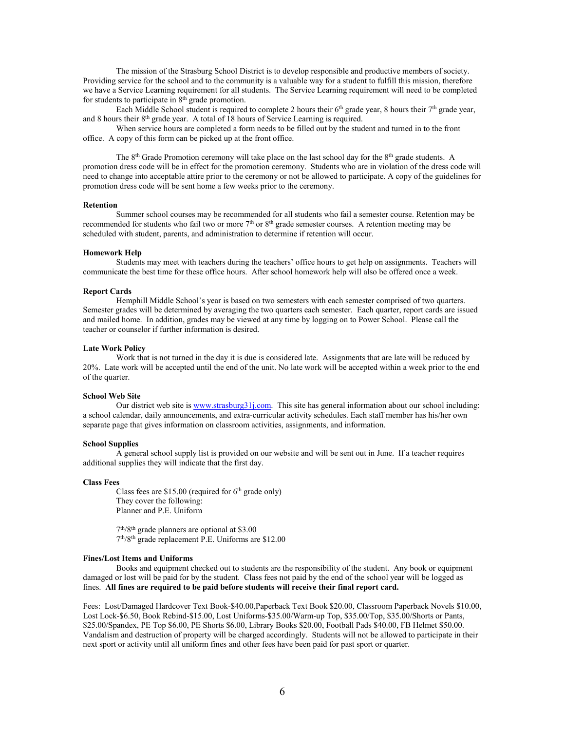The mission of the Strasburg School District is to develop responsible and productive members of society. Providing service for the school and to the community is a valuable way for a student to fulfill this mission, therefore we have a Service Learning requirement for all students. The Service Learning requirement will need to be completed for students to participate in  $8<sup>th</sup>$  grade promotion.

Each Middle School student is required to complete 2 hours their  $6<sup>th</sup>$  grade year, 8 hours their  $7<sup>th</sup>$  grade year, and 8 hours their  $8<sup>th</sup>$  grade year. A total of 18 hours of Service Learning is required.

When service hours are completed a form needs to be filled out by the student and turned in to the front office. A copy of this form can be picked up at the front office.

The 8<sup>th</sup> Grade Promotion ceremony will take place on the last school day for the 8<sup>th</sup> grade students. A promotion dress code will be in effect for the promotion ceremony. Students who are in violation of the dress code will need to change into acceptable attire prior to the ceremony or not be allowed to participate. A copy of the guidelines for promotion dress code will be sent home a few weeks prior to the ceremony.

#### **Retention**

Summer school courses may be recommended for all students who fail a semester course. Retention may be recommended for students who fail two or more 7<sup>th</sup> or 8<sup>th</sup> grade semester courses. A retention meeting may be scheduled with student, parents, and administration to determine if retention will occur.

#### **Homework Help**

Students may meet with teachers during the teachers' office hours to get help on assignments. Teachers will communicate the best time for these office hours. After school homework help will also be offered once a week.

#### **Report Cards**

Hemphill Middle School's year is based on two semesters with each semester comprised of two quarters. Semester grades will be determined by averaging the two quarters each semester. Each quarter, report cards are issued and mailed home. In addition, grades may be viewed at any time by logging on to Power School. Please call the teacher or counselor if further information is desired.

#### **Late Work Policy**

Work that is not turned in the day it is due is considered late. Assignments that are late will be reduced by 20%. Late work will be accepted until the end of the unit. No late work will be accepted within a week prior to the end of the quarter.

#### **School Web Site**

Our district web site i[s www.strasburg31j.com.](http://www.strasburg31j.com/) This site has general information about our school including: a school calendar, daily announcements, and extra-curricular activity schedules. Each staff member has his/her own separate page that gives information on classroom activities, assignments, and information.

#### **School Supplies**

A general school supply list is provided on our website and will be sent out in June. If a teacher requires additional supplies they will indicate that the first day.

#### **Class Fees**

Class fees are  $$15.00$  (required for 6<sup>th</sup> grade only) They cover the following: Planner and P.E. Uniform

 $7<sup>th</sup>/8<sup>th</sup>$  grade planners are optional at \$3.00 7th/8th grade replacement P.E. Uniforms are \$12.00

#### **Fines/Lost Items and Uniforms**

Books and equipment checked out to students are the responsibility of the student. Any book or equipment damaged or lost will be paid for by the student. Class fees not paid by the end of the school year will be logged as fines. **All fines are required to be paid before students will receive their final report card.**

Fees: Lost/Damaged Hardcover Text Book-\$40.00,Paperback Text Book \$20.00, Classroom Paperback Novels \$10.00, Lost Lock-\$6.50, Book Rebind-\$15.00, Lost Uniforms-\$35.00/Warm-up Top, \$35.00/Top, \$35.00/Shorts or Pants, \$25.00/Spandex, PE Top \$6.00, PE Shorts \$6.00, Library Books \$20.00, Football Pads \$40.00, FB Helmet \$50.00. Vandalism and destruction of property will be charged accordingly. Students will not be allowed to participate in their next sport or activity until all uniform fines and other fees have been paid for past sport or quarter.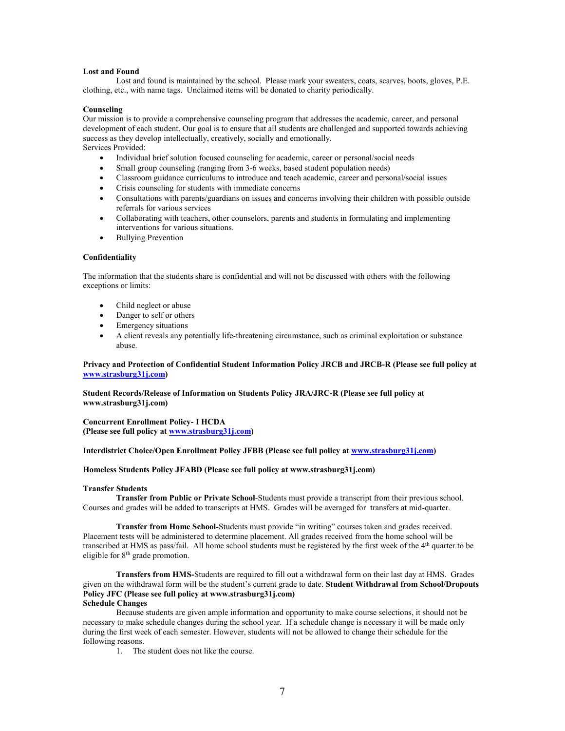#### **Lost and Found**

Lost and found is maintained by the school. Please mark your sweaters, coats, scarves, boots, gloves, P.E. clothing, etc., with name tags.Unclaimed items will be donated to charity periodically.

#### **Counseling**

Our mission is to provide a comprehensive counseling program that addresses the academic, career, and personal development of each student. Our goal is to ensure that all students are challenged and supported towards achieving success as they develop intellectually, creatively, socially and emotionally. Services Provided:

- Individual brief solution focused counseling for academic, career or personal/social needs
- Small group counseling (ranging from 3-6 weeks, based student population needs)
- Classroom guidance curriculums to introduce and teach academic, career and personal/social issues
- Crisis counseling for students with immediate concerns
- Consultations with parents/guardians on issues and concerns involving their children with possible outside referrals for various services
- Collaborating with teachers, other counselors, parents and students in formulating and implementing interventions for various situations.
- Bullying Prevention

#### **Confidentiality**

The information that the students share is confidential and will not be discussed with others with the following exceptions or limits:

- Child neglect or abuse
- Danger to self or others
- Emergency situations
- A client reveals any potentially life-threatening circumstance, such as criminal exploitation or substance abuse.

#### **Privacy and Protection of Confidential Student Information Policy JRCB and JRCB-R (Please see full policy at [www.strasburg31j.com\)](http://www.strasburg31j.com/)**

**Student Records/Release of Information on Students Policy JRA/JRC-R (Please see full policy at www.strasburg31j.com)**

**Concurrent Enrollment Policy- I HCDA (Please see full policy at [www.strasburg31j.com\)](http://www.strasburg31j.com/)**

#### **Interdistrict Choice/Open Enrollment Policy JFBB (Please see full policy at [www.strasburg31j.com\)](http://www.strasburg31j.com/)**

#### **Homeless Students Policy JFABD (Please see full policy at www.strasburg31j.com)**

#### **Transfer Students**

**Transfer from Public or Private School**-Students must provide a transcript from their previous school. Courses and grades will be added to transcripts at HMS. Grades will be averaged for transfers at mid-quarter.

**Transfer from Home School-**Students must provide "in writing" courses taken and grades received. Placement tests will be administered to determine placement. All grades received from the home school will be transcribed at HMS as pass/fail. All home school students must be registered by the first week of the  $4<sup>th</sup>$  quarter to be eligible for 8<sup>th</sup> grade promotion.

**Transfers from HMS-**Students are required to fill out a withdrawal form on their last day at HMS. Grades given on the withdrawal form will be the student's current grade to date. **Student Withdrawal from School/Dropouts Policy JFC (Please see full policy at www.strasburg31j.com)**

#### **Schedule Changes**

Because students are given ample information and opportunity to make course selections, it should not be necessary to make schedule changes during the school year. If a schedule change is necessary it will be made only during the first week of each semester. However, students will not be allowed to change their schedule for the following reasons.

1. The student does not like the course.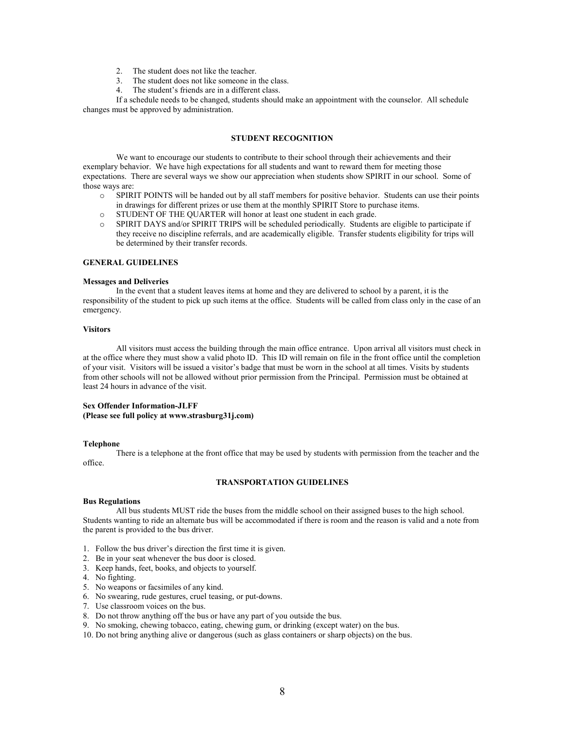- 2. The student does not like the teacher.
- 3. The student does not like someone in the class.
- 4. The student's friends are in a different class.

If a schedule needs to be changed, students should make an appointment with the counselor. All schedule changes must be approved by administration.

#### **STUDENT RECOGNITION**

We want to encourage our students to contribute to their school through their achievements and their exemplary behavior. We have high expectations for all students and want to reward them for meeting those expectations. There are several ways we show our appreciation when students show SPIRIT in our school. Some of those ways are:

- o SPIRIT POINTS will be handed out by all staff members for positive behavior. Students can use their points in drawings for different prizes or use them at the monthly SPIRIT Store to purchase items.
- o STUDENT OF THE QUARTER will honor at least one student in each grade.
- o SPIRIT DAYS and/or SPIRIT TRIPS will be scheduled periodically. Students are eligible to participate if they receive no discipline referrals, and are academically eligible. Transfer students eligibility for trips will be determined by their transfer records.

#### **GENERAL GUIDELINES**

#### **Messages and Deliveries**

In the event that a student leaves items at home and they are delivered to school by a parent, it is the responsibility of the student to pick up such items at the office. Students will be called from class only in the case of an emergency.

#### **Visitors**

All visitors must access the building through the main office entrance. Upon arrival all visitors must check in at the office where they must show a valid photo ID. This ID will remain on file in the front office until the completion of your visit. Visitors will be issued a visitor's badge that must be worn in the school at all times. Visits by students from other schools will not be allowed without prior permission from the Principal. Permission must be obtained at least 24 hours in advance of the visit.

#### **Sex Offender Information-JLFF (Please see full policy at www.strasburg31j.com)**

#### **Telephone**

There is a telephone at the front office that may be used by students with permission from the teacher and the office.

#### **TRANSPORTATION GUIDELINES**

#### **Bus Regulations**

All bus students MUST ride the buses from the middle school on their assigned buses to the high school. Students wanting to ride an alternate bus will be accommodated if there is room and the reason is valid and a note from the parent is provided to the bus driver.

- 1.Follow the bus driver's direction the first time it is given.
- 2. Be in your seat whenever the bus door is closed.
- 3. Keep hands, feet, books, and objects to yourself.
- 4. No fighting.
- 5. No weapons or facsimiles of any kind.
- 6. No swearing, rude gestures, cruel teasing, or put-downs.
- 7. Use classroom voices on the bus.
- 8. Do not throw anything off the bus or have any part of you outside the bus.
- 9. No smoking, chewing tobacco, eating, chewing gum, or drinking (except water) on the bus.
- 10. Do not bring anything alive or dangerous (such as glass containers or sharp objects) on the bus.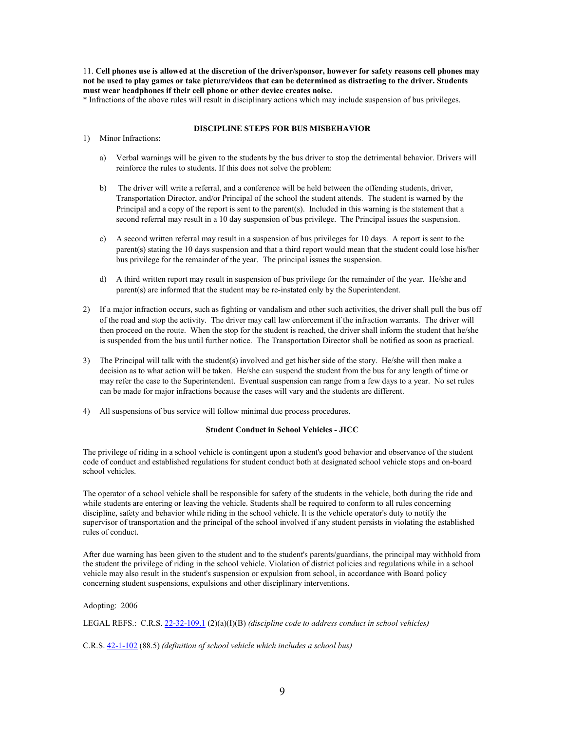11. **Cell phones use is allowed at the discretion of the driver/sponsor, however for safety reasons cell phones may not be used to play games or take picture/videos that can be determined as distracting to the driver. Students must wear headphones if their cell phone or other device creates noise.**

\* Infractions of the above rules will result in disciplinary actions which may include suspension of bus privileges.

#### **DISCIPLINE STEPS FOR BUS MISBEHAVIOR**

- 1) Minor Infractions:
	- a) Verbal warnings will be given to the students by the bus driver to stop the detrimental behavior. Drivers will reinforce the rules to students. If this does not solve the problem:
	- b) The driver will write a referral, and a conference will be held between the offending students, driver, Transportation Director, and/or Principal of the school the student attends. The student is warned by the Principal and a copy of the report is sent to the parent(s). Included in this warning is the statement that a second referral may result in a 10 day suspension of bus privilege. The Principal issues the suspension.
	- c) A second written referral may result in a suspension of bus privileges for 10 days. A report is sent to the parent(s) stating the 10 days suspension and that a third report would mean that the student could lose his/her bus privilege for the remainder of the year. The principal issues the suspension.
	- d) A third written report may result in suspension of bus privilege for the remainder of the year. He/she and parent(s) are informed that the student may be re-instated only by the Superintendent.
- 2) If a major infraction occurs, such as fighting or vandalism and other such activities, the driver shall pull the bus off of the road and stop the activity. The driver may call law enforcement if the infraction warrants. The driver will then proceed on the route. When the stop for the student is reached, the driver shall inform the student that he/she is suspended from the bus until further notice. The Transportation Director shall be notified as soon as practical.
- 3) The Principal will talk with the student(s) involved and get his/her side of the story. He/she will then make a decision as to what action will be taken. He/she can suspend the student from the bus for any length of time or may refer the case to the Superintendent. Eventual suspension can range from a few days to a year. No set rules can be made for major infractions because the cases will vary and the students are different.
- 4) All suspensions of bus service will follow minimal due process procedures.

#### **Student Conduct in School Vehicles - JICC**

The privilege of riding in a school vehicle is contingent upon a student's good behavior and observance of the student code of conduct and established regulations for student conduct both at designated school vehicle stops and on-board school vehicles.

The operator of a school vehicle shall be responsible for safety of the students in the vehicle, both during the ride and while students are entering or leaving the vehicle. Students shall be required to conform to all rules concerning discipline, safety and behavior while riding in the school vehicle. It is the vehicle operator's duty to notify the supervisor of transportation and the principal of the school involved if any student persists in violating the established rules of conduct.

After due warning has been given to the student and to the student's parents/guardians, the principal may withhold from the student the privilege of riding in the school vehicle. Violation of district policies and regulations while in a school vehicle may also result in the student's suspension or expulsion from school, in accordance with Board policy concerning student suspensions, expulsions and other disciplinary interventions.

Adopting: 2006

LEGAL REFS.: C.R.S[. 22-32-109.1](http://www.lpdirect.net/casb/crs/22-32-109_1.html) (2)(a)(I)(B) *(discipline code to address conduct in school vehicles)*

C.R.S. [42-1-102](http://www.lpdirect.net/casb/crs/42-1-102.html) (88.5) *(definition of school vehicle which includes a school bus)*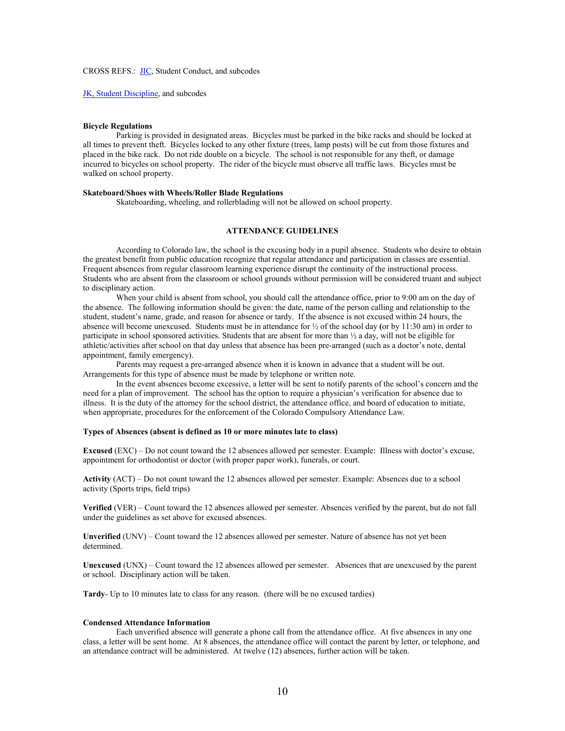#### CROSS REFS.: [JIC,](http://z2.ctspublish.com/casb/DocViewer.jsp?docid=280&z2collection=core#JD_JIC) Student Conduct, and subcodes

[JK, Student Discipline,](http://z2.ctspublish.com/casb/DocViewer.jsp?docid=310&z2collection=core#JD_JK) and subcodes

#### **Bicycle Regulations**

Parking is provided in designated areas. Bicycles must be parked in the bike racks and should be locked at all times to prevent theft. Bicycles locked to any other fixture (trees, lamp posts) will be cut from those fixtures and placed in the bike rack. Do not ride double on a bicycle. The school is not responsible for any theft, or damage incurred to bicycles on school property. The rider of the bicycle must observe all traffic laws. Bicycles must be walked on school property.

#### **Skateboard/Shoes with Wheels/Roller Blade Regulations**

Skateboarding, wheeling, and rollerblading will not be allowed on school property.

#### **ATTENDANCE GUIDELINES**

According to Colorado law, the school is the excusing body in a pupil absence. Students who desire to obtain the greatest benefit from public education recognize that regular attendance and participation in classes are essential. Frequent absences from regular classroom learning experience disrupt the continuity of the instructional process. Students who are absent from the classroom or school grounds without permission will be considered truant and subject to disciplinary action.

When your child is absent from school, you should call the attendance office, prior to 9:00 am on the day of the absence. The following information should be given: the date, name of the person calling and relationship to the student, student's name, grade, and reason for absence or tardy. If the absence is not excused within 24 hours, the absence will become unexcused. Students must be in attendance for ½ of the school day **(**or by 11:30 am) in order to participate in school sponsored activities. Students that are absent for more than ½ a day, will not be eligible for athletic/activities after school on that day unless that absence has been pre-arranged (such as a doctor's note, dental appointment, family emergency).

Parents may request a pre-arranged absence when it is known in advance that a student will be out. Arrangements for this type of absence must be made by telephone or written note.

In the event absences become excessive, a letter will be sent to notify parents of the school's concern and the need for a plan of improvement. The school has the option to require a physician's verification for absence due to illness. It is the duty of the attorney for the school district, the attendance office, and board of education to initiate, when appropriate, procedures for the enforcement of the Colorado Compulsory Attendance Law.

#### **Types of Absences (absent is defined as 10 or more minutes late to class)**

**Excused** (EXC) – Do not count toward the 12 absences allowed per semester. Example: Illness with doctor's excuse, appointment for orthodontist or doctor (with proper paper work), funerals, or court.

**Activity** (ACT) – Do not count toward the 12 absences allowed per semester. Example: Absences due to a school activity (Sports trips, field trips)

**Verified** (VER) – Count toward the 12 absences allowed per semester. Absences verified by the parent, but do not fall under the guidelines as set above for excused absences.

**Unverified** (UNV) – Count toward the 12 absences allowed per semester. Nature of absence has not yet been determined.

**Unexcused** (UNX) – Count toward the 12 absences allowed per semester. Absences that are unexcused by the parent or school. Disciplinary action will be taken.

**Tardy**- Up to 10 minutes late to class for any reason. (there will be no excused tardies)

#### **Condensed Attendance Information**

Each unverified absence will generate a phone call from the attendance office. At five absences in any one class, a letter will be sent home. At 8 absences, the attendance office will contact the parent by letter, or telephone, and an attendance contract will be administered. At twelve (12) absences, further action will be taken.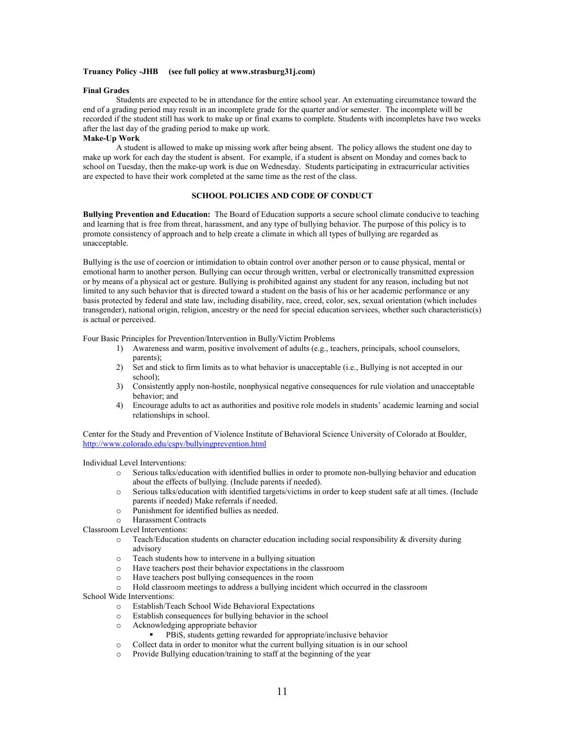#### **Truancy Policy -JHB (see full policy at www.strasburg31j.com)**

#### **Final Grades**

Students are expected to be in attendance for the entire school year. An extenuating circumstance toward the end of a grading period may result in an incomplete grade for the quarter and/or semester. The incomplete will be recorded if the student still has work to make up or final exams to complete. Students with incompletes have two weeks after the last day of the grading period to make up work.

#### **Make-Up Work**

A student is allowed to make up missing work after being absent. The policy allows the student one day to make up work for each day the student is absent. For example, if a student is absent on Monday and comes back to school on Tuesday, then the make-up work is due on Wednesday. Students participating in extracurricular activities are expected to have their work completed at the same time as the rest of the class.

#### **SCHOOL POLICIES AND CODE OF CONDUCT**

**Bullying Prevention and Education:** The Board of Education supports a secure school climate conducive to teaching and learning that is free from threat, harassment, and any type of bullying behavior. The purpose of this policy is to promote consistency of approach and to help create a climate in which all types of bullying are regarded as unacceptable.

Bullying is the use of coercion or intimidation to obtain control over another person or to cause physical, mental or emotional harm to another person. Bullying can occur through written, verbal or electronically transmitted expression or by means of a physical act or gesture. Bullying is prohibited against any student for any reason, including but not limited to any such behavior that is directed toward a student on the basis of his or her academic performance or any basis protected by federal and state law, including disability, race, creed, color, sex, sexual orientation (which includes transgender), national origin, religion, ancestry or the need for special education services, whether such characteristic(s) is actual or perceived.

Four Basic Principles for Prevention/Intervention in Bully/Victim Problems

- 1) Awareness and warm, positive involvement of adults (e.g., teachers, principals, school counselors, parents);
- 2) Set and stick to firm limits as to what behavior is unacceptable (i.e., Bullying is not accepted in our school);
- 3) Consistently apply non-hostile, nonphysical negative consequences for rule violation and unacceptable behavior; and
- 4) Encourage adults to act as authorities and positive role models in students' academic learning and social relationships in school.

Center for the Study and Prevention of Violence Institute of Behavioral Science University of Colorado at Boulder, <http://www.colorado.edu/cspv/bullyingprevention.html>

#### Individual Level Interventions:

- o Serious talks/education with identified bullies in order to promote non-bullying behavior and education about the effects of bullying. (Include parents if needed).
- o Serious talks/education with identified targets/victims in order to keep student safe at all times. (Include parents if needed) Make referrals if needed.
- o Punishment for identified bullies as needed.<br>
Harassment Contracts
- Harassment Contracts
- Classroom Level Interventions:
	- o Teach/Education students on character education including social responsibility & diversity during advisory
	- $\circ$  Teach students how to intervene in a bullying situation<br> $\circ$  Have teachers post their behavior expectations in the cl
	- $\circ$  Have teachers post their behavior expectations in the classroom<br> $\circ$  Have teachers post bullying consequences in the room
	- o Have teachers post bullying consequences in the room
	- Hold classroom meetings to address a bullying incident which occurred in the classroom

School Wide Interventions:

- o Establish/Teach School Wide Behavioral Expectations
- $\circ$  Establish consequences for bullying behavior in the school  $\circ$  Acknowledging appropriate behavior
- Acknowledging appropriate behavior
	- PBiS, students getting rewarded for appropriate/inclusive behavior
- o Collect data in order to monitor what the current bullying situation is in our school
- o Provide Bullying education/training to staff at the beginning of the year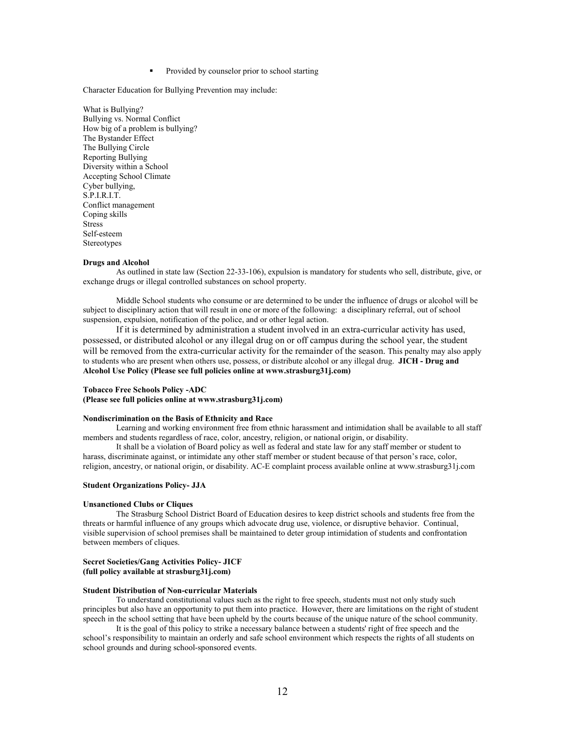Provided by counselor prior to school starting

Character Education for Bullying Prevention may include:

What is Bullying? Bullying vs. Normal Conflict How big of a problem is bullying? The Bystander Effect The Bullying Circle Reporting Bullying Diversity within a School Accepting School Climate Cyber bullying, S.P.I.R.I.T. Conflict management Coping skills Stress Self-esteem **Stereotypes** 

#### **Drugs and Alcohol**

As outlined in state law (Section 22-33-106), expulsion is mandatory for students who sell, distribute, give, or exchange drugs or illegal controlled substances on school property.

Middle School students who consume or are determined to be under the influence of drugs or alcohol will be subject to disciplinary action that will result in one or more of the following: a disciplinary referral, out of school suspension, expulsion, notification of the police, and or other legal action.

If it is determined by administration a student involved in an extra-curricular activity has used, possessed, or distributed alcohol or any illegal drug on or off campus during the school year, the student will be removed from the extra-curricular activity for the remainder of the season. This penalty may also apply to students who are present when others use, possess, or distribute alcohol or any illegal drug. **JICH - Drug and Alcohol Use Policy (Please see full policies online at www.strasburg31j.com)**

#### **Tobacco Free Schools Policy -ADC**

**(Please see full policies online at www.strasburg31j.com)**

#### **Nondiscrimination on the Basis of Ethnicity and Race**

Learning and working environment free from ethnic harassment and intimidation shall be available to all staff members and students regardless of race, color, ancestry, religion, or national origin, or disability.

It shall be a violation of Board policy as well as federal and state law for any staff member or student to harass, discriminate against, or intimidate any other staff member or student because of that person's race, color, religion, ancestry, or national origin, or disability. AC-E complaint process available online at www.strasburg31j.com

#### **Student Organizations Policy- JJA**

#### **Unsanctioned Clubs or Cliques**

The Strasburg School District Board of Education desires to keep district schools and students free from the threats or harmful influence of any groups which advocate drug use, violence, or disruptive behavior. Continual, visible supervision of school premises shall be maintained to deter group intimidation of students and confrontation between members of cliques.

#### **Secret Societies/Gang Activities Policy- JICF (full policy available at strasburg31j.com)**

#### **Student Distribution of Non-curricular Materials**

To understand constitutional values such as the right to free speech, students must not only study such principles but also have an opportunity to put them into practice. However, there are limitations on the right of student speech in the school setting that have been upheld by the courts because of the unique nature of the school community.

It is the goal of this policy to strike a necessary balance between a students' right of free speech and the school's responsibility to maintain an orderly and safe school environment which respects the rights of all students on school grounds and during school-sponsored events.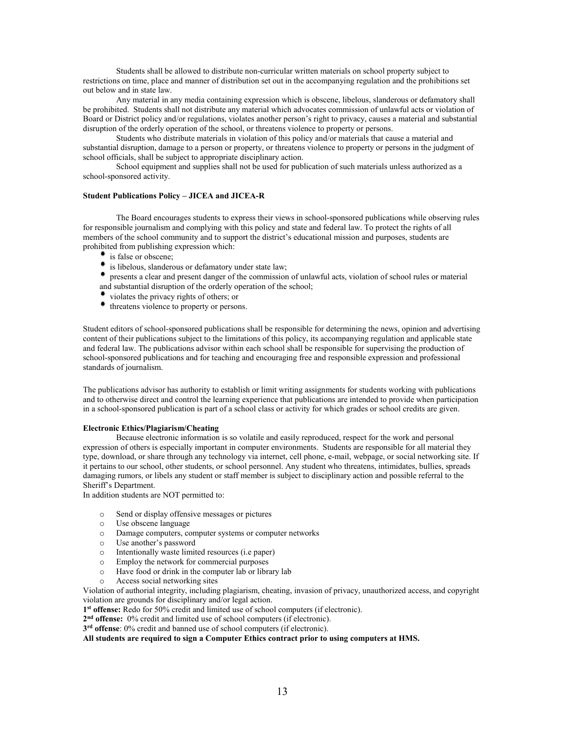Students shall be allowed to distribute non-curricular written materials on school property subject to restrictions on time, place and manner of distribution set out in the accompanying regulation and the prohibitions set out below and in state law.

Any material in any media containing expression which is obscene, libelous, slanderous or defamatory shall be prohibited. Students shall not distribute any material which advocates commission of unlawful acts or violation of Board or District policy and/or regulations, violates another person's right to privacy, causes a material and substantial disruption of the orderly operation of the school, or threatens violence to property or persons.

Students who distribute materials in violation of this policy and/or materials that cause a material and substantial disruption, damage to a person or property, or threatens violence to property or persons in the judgment of school officials, shall be subject to appropriate disciplinary action.

School equipment and supplies shall not be used for publication of such materials unless authorized as a school-sponsored activity.

#### **Student Publications Policy – JICEA and JICEA-R**

The Board encourages students to express their views in school-sponsored publications while observing rules for responsible journalism and complying with this policy and state and federal law. To protect the rights of all members of the school community and to support the district's educational mission and purposes, students are prohibited from publishing expression which:

- **is false or obscene;**
- is libelous, slanderous or defamatory under state law;
- presents a clear and present danger of the commission of unlawful acts, violation of school rules or material and substantial disruption of the orderly operation of the school;
- violates the privacy rights of others; or
- threatens violence to property or persons.

Student editors of school-sponsored publications shall be responsible for determining the news, opinion and advertising content of their publications subject to the limitations of this policy, its accompanying regulation and applicable state and federal law. The publications advisor within each school shall be responsible for supervising the production of school-sponsored publications and for teaching and encouraging free and responsible expression and professional standards of journalism.

The publications advisor has authority to establish or limit writing assignments for students working with publications and to otherwise direct and control the learning experience that publications are intended to provide when participation in a school-sponsored publication is part of a school class or activity for which grades or school credits are given.

#### **Electronic Ethics/Plagiarism/Cheating**

Because electronic information is so volatile and easily reproduced, respect for the work and personal expression of others is especially important in computer environments. Students are responsible for all material they type, download, or share through any technology via internet, cell phone, e-mail, webpage, or social networking site. If it pertains to our school, other students, or school personnel. Any student who threatens, intimidates, bullies, spreads damaging rumors, or libels any student or staff member is subject to disciplinary action and possible referral to the Sheriff's Department.

In addition students are NOT permitted to:

- o Send or display offensive messages or pictures
- o Use obscene language
- o Damage computers, computer systems or computer networks
- o Use another's password
- $\circ$  Intentionally waste limited resources (i.e paper)<br> $\circ$  Employ the network for commercial purposes
- o Employ the network for commercial purposes
- $\circ$  Have food or drink in the computer lab or library lab  $\circ$  Access social networking sites
- Access social networking sites

Violation of authorial integrity, including plagiarism, cheating, invasion of privacy, unauthorized access, and copyright violation are grounds for disciplinary and/or legal action.

**1st offense:** Redo for 50% credit and limited use of school computers (if electronic).

**2nd offense:** 0% credit and limited use of school computers (if electronic).

**3rd offense**: 0% credit and banned use of school computers (if electronic).

**All students are required to sign a Computer Ethics contract prior to using computers at HMS.**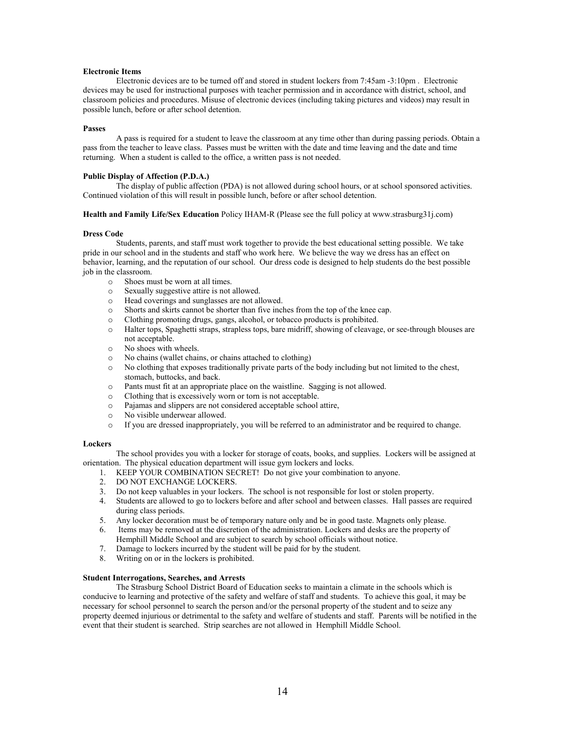#### **Electronic Items**

Electronic devices are to be turned off and stored in student lockers from 7:45am -3:10pm . Electronic devices may be used for instructional purposes with teacher permission and in accordance with district, school, and classroom policies and procedures. Misuse of electronic devices (including taking pictures and videos) may result in possible lunch, before or after school detention.

#### **Passes**

A pass is required for a student to leave the classroom at any time other than during passing periods. Obtain a pass from the teacher to leave class. Passes must be written with the date and time leaving and the date and time returning. When a student is called to the office, a written pass is not needed.

#### **Public Display of Affection (P.D.A.)**

The display of public affection (PDA) is not allowed during school hours, or at school sponsored activities. Continued violation of this will result in possible lunch, before or after school detention.

#### **Health and Family Life/Sex Education** Policy IHAM-R (Please see the full policy at www.strasburg31j.com)

#### **Dress Code**

Students, parents, and staff must work together to provide the best educational setting possible. We take pride in our school and in the students and staff who work here. We believe the way we dress has an effect on behavior, learning, and the reputation of our school. Our dress code is designed to help students do the best possible job in the classroom.

- o Shoes must be worn at all times.
- o Sexually suggestive attire is not allowed.
- o Head coverings and sunglasses are not allowed.
- o Shorts and skirts cannot be shorter than five inches from the top of the knee cap.
- o Clothing promoting drugs, gangs, alcohol, or tobacco products is prohibited.
- o Halter tops, Spaghetti straps, strapless tops, bare midriff, showing of cleavage, or see-through blouses are not acceptable.
- o No shoes with wheels.
- o No chains (wallet chains, or chains attached to clothing)
- o No clothing that exposes traditionally private parts of the body including but not limited to the chest, stomach, buttocks, and back.
- o Pants must fit at an appropriate place on the waistline. Sagging is not allowed.
- o Clothing that is excessively worn or torn is not acceptable.
- o Pajamas and slippers are not considered acceptable school attire,
- o No visible underwear allowed.
- o If you are dressed inappropriately, you will be referred to an administrator and be required to change.

#### **Lockers**

The school provides you with a locker for storage of coats, books, and supplies. Lockers will be assigned at orientation. The physical education department will issue gym lockers and locks.

- 1. KEEP YOUR COMBINATION SECRET! Do not give your combination to anyone.
- 2. DO NOT EXCHANGE LOCKERS.
- 3. Do not keep valuables in your lockers. The school is not responsible for lost or stolen property.
- 4. Students are allowed to go to lockers before and after school and between classes. Hall passes are required during class periods.
- 5. Any locker decoration must be of temporary nature only and be in good taste. Magnets only please.
- 6. Items may be removed at the discretion of the administration. Lockers and desks are the property of Hemphill Middle School and are subject to search by school officials without notice.
- 7. Damage to lockers incurred by the student will be paid for by the student.
- 8. Writing on or in the lockers is prohibited.

#### **Student Interrogations, Searches, and Arrests**

The Strasburg School District Board of Education seeks to maintain a climate in the schools which is conducive to learning and protective of the safety and welfare of staff and students. To achieve this goal, it may be necessary for school personnel to search the person and/or the personal property of the student and to seize any property deemed injurious or detrimental to the safety and welfare of students and staff. Parents will be notified in the event that their student is searched. Strip searches are not allowed in Hemphill Middle School.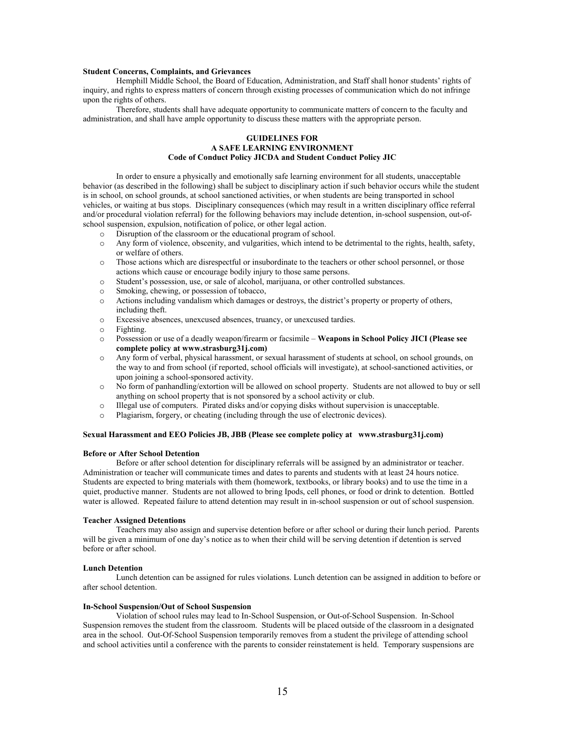#### **Student Concerns, Complaints, and Grievances**

Hemphill Middle School, the Board of Education, Administration, and Staff shall honor students' rights of inquiry, and rights to express matters of concern through existing processes of communication which do not infringe upon the rights of others.

Therefore, students shall have adequate opportunity to communicate matters of concern to the faculty and administration, and shall have ample opportunity to discuss these matters with the appropriate person.

#### **GUIDELINES FOR A SAFE LEARNING ENVIRONMENT Code of Conduct Policy JICDA and Student Conduct Policy JIC**

In order to ensure a physically and emotionally safe learning environment for all students, unacceptable behavior (as described in the following) shall be subject to disciplinary action if such behavior occurs while the student is in school, on school grounds, at school sanctioned activities, or when students are being transported in school vehicles, or waiting at bus stops. Disciplinary consequences (which may result in a written disciplinary office referral and/or procedural violation referral) for the following behaviors may include detention, in-school suspension, out-ofschool suspension, expulsion, notification of police, or other legal action.

- 
- $\circ$  Disruption of the classroom or the educational program of school.<br> $\circ$  Any form of violence, obscenity, and vulgarities, which intend to be Any form of violence, obscenity, and vulgarities, which intend to be detrimental to the rights, health, safety, or welfare of others.
- o Those actions which are disrespectful or insubordinate to the teachers or other school personnel, or those actions which cause or encourage bodily injury to those same persons.
- o Student's possession, use, or sale of alcohol, marijuana, or other controlled substances.
- Smoking, chewing, or possession of tobacco,
- o Actions including vandalism which damages or destroys, the district's property or property of others, including theft.
- o Excessive absences, unexcused absences, truancy, or unexcused tardies.
- Fighting.
- o Possession or use of a deadly weapon/firearm or facsimile **Weapons in School Policy JICI (Please see complete policy at www.strasburg31j.com)**
- o Any form of verbal, physical harassment, or sexual harassment of students at school, on school grounds, on the way to and from school (if reported, school officials will investigate), at school-sanctioned activities, or upon joining a school-sponsored activity.
- o No form of panhandling/extortion will be allowed on school property. Students are not allowed to buy or sell anything on school property that is not sponsored by a school activity or club.
- o Illegal use of computers. Pirated disks and/or copying disks without supervision is unacceptable.
- o Plagiarism, forgery, or cheating (including through the use of electronic devices).

#### **Sexual Harassment and EEO Policies JB, JBB (Please see complete policy at www.strasburg31j.com)**

#### **Before or After School Detention**

Before or after school detention for disciplinary referrals will be assigned by an administrator or teacher. Administration or teacher will communicate times and dates to parents and students with at least 24 hours notice. Students are expected to bring materials with them (homework, textbooks, or library books) and to use the time in a quiet, productive manner. Students are not allowed to bring Ipods, cell phones, or food or drink to detention. Bottled water is allowed. Repeated failure to attend detention may result in in-school suspension or out of school suspension.

#### **Teacher Assigned Detentions**

Teachers may also assign and supervise detention before or after school or during their lunch period. Parents will be given a minimum of one day's notice as to when their child will be serving detention if detention is served before or after school.

#### **Lunch Detention**

Lunch detention can be assigned for rules violations. Lunch detention can be assigned in addition to before or after school detention.

#### **In-School Suspension/Out of School Suspension**

Violation of school rules may lead to In-School Suspension, or Out-of-School Suspension. In-School Suspension removes the student from the classroom. Students will be placed outside of the classroom in a designated area in the school. Out-Of-School Suspension temporarily removes from a student the privilege of attending school and school activities until a conference with the parents to consider reinstatement is held. Temporary suspensions are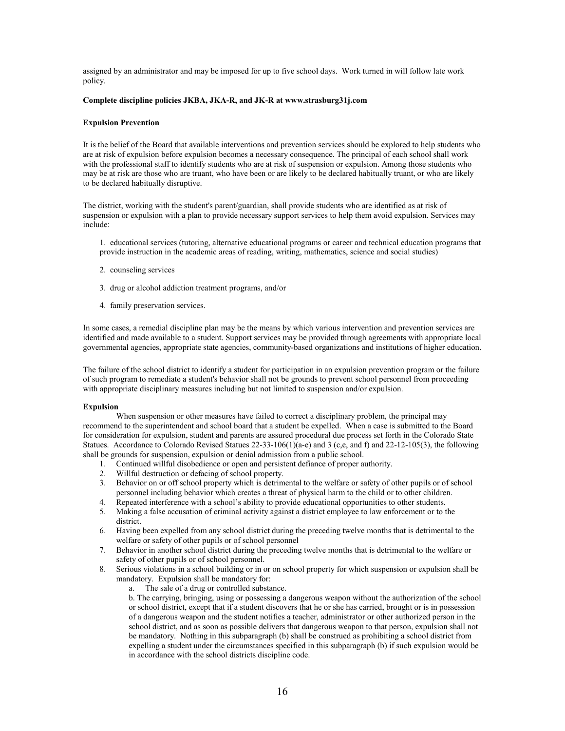assigned by an administrator and may be imposed for up to five school days. Work turned in will follow late work policy.

#### **Complete discipline policies JKBA, JKA-R, and JK-R at www.strasburg31j.com**

#### **Expulsion Prevention**

It is the belief of the Board that available interventions and prevention services should be explored to help students who are at risk of expulsion before expulsion becomes a necessary consequence. The principal of each school shall work with the professional staff to identify students who are at risk of suspension or expulsion. Among those students who may be at risk are those who are truant, who have been or are likely to be declared habitually truant, or who are likely to be declared habitually disruptive.

The district, working with the student's parent/guardian, shall provide students who are identified as at risk of suspension or expulsion with a plan to provide necessary support services to help them avoid expulsion. Services may include:

1. educational services (tutoring, alternative educational programs or career and technical education programs that provide instruction in the academic areas of reading, writing, mathematics, science and social studies)

- 2. counseling services
- 3. drug or alcohol addiction treatment programs, and/or
- 4. family preservation services.

In some cases, a remedial discipline plan may be the means by which various intervention and prevention services are identified and made available to a student. Support services may be provided through agreements with appropriate local governmental agencies, appropriate state agencies, community-based organizations and institutions of higher education.

The failure of the school district to identify a student for participation in an expulsion prevention program or the failure of such program to remediate a student's behavior shall not be grounds to prevent school personnel from proceeding with appropriate disciplinary measures including but not limited to suspension and/or expulsion.

#### **Expulsion**

When suspension or other measures have failed to correct a disciplinary problem, the principal may recommend to the superintendent and school board that a student be expelled. When a case is submitted to the Board for consideration for expulsion, student and parents are assured procedural due process set forth in the Colorado State Statues. Accordance to Colorado Revised Statues 22-33-106(1)(a-e) and 3 (c,e, and f) and 22-12-105(3), the following shall be grounds for suspension, expulsion or denial admission from a public school.

- 1. Continued willful disobedience or open and persistent defiance of proper authority.
- 2. Willful destruction or defacing of school property.
- 3. Behavior on or off school property which is detrimental to the welfare or safety of other pupils or of school personnel including behavior which creates a threat of physical harm to the child or to other children.
- 4. Repeated interference with a school's ability to provide educational opportunities to other students.
- 5. Making a false accusation of criminal activity against a district employee to law enforcement or to the district.
- 6. Having been expelled from any school district during the preceding twelve months that is detrimental to the welfare or safety of other pupils or of school personnel
- 7. Behavior in another school district during the preceding twelve months that is detrimental to the welfare or safety of other pupils or of school personnel.
- 8. Serious violations in a school building or in or on school property for which suspension or expulsion shall be mandatory. Expulsion shall be mandatory for:
	- a. The sale of a drug or controlled substance.

b. The carrying, bringing, using or possessing a dangerous weapon without the authorization of the school or school district, except that if a student discovers that he or she has carried, brought or is in possession of a dangerous weapon and the student notifies a teacher, administrator or other authorized person in the school district, and as soon as possible delivers that dangerous weapon to that person, expulsion shall not be mandatory. Nothing in this subparagraph (b) shall be construed as prohibiting a school district from expelling a student under the circumstances specified in this subparagraph (b) if such expulsion would be in accordance with the school districts discipline code.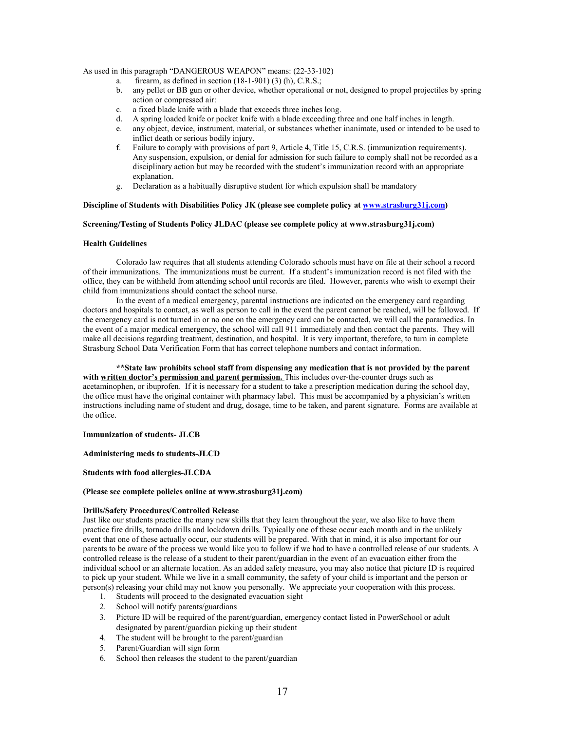As used in this paragraph "DANGEROUS WEAPON" means: (22-33-102)

- a. firearm, as defined in section  $(18-1-901)$   $(3)$   $(h)$ , C.R.S.;
- b. any pellet or BB gun or other device, whether operational or not, designed to propel projectiles by spring action or compressed air:
- c. a fixed blade knife with a blade that exceeds three inches long.
- d. A spring loaded knife or pocket knife with a blade exceeding three and one half inches in length.
- e. any object, device, instrument, material, or substances whether inanimate, used or intended to be used to inflict death or serious bodily injury.
- f. Failure to comply with provisions of part 9, Article 4, Title 15, C.R.S. (immunization requirements). Any suspension, expulsion, or denial for admission for such failure to comply shall not be recorded as a disciplinary action but may be recorded with the student's immunization record with an appropriate explanation.
- g. Declaration as a habitually disruptive student for which expulsion shall be mandatory

#### **Discipline of Students with Disabilities Policy JK (please see complete policy a[t www.strasburg31j.com\)](http://www.strasburg31j.com/)**

#### **Screening/Testing of Students Policy JLDAC (please see complete policy at www.strasburg31j.com)**

#### **Health Guidelines**

Colorado law requires that all students attending Colorado schools must have on file at their school a record of their immunizations. The immunizations must be current. If a student's immunization record is not filed with the office, they can be withheld from attending school until records are filed. However, parents who wish to exempt their child from immunizations should contact the school nurse.

In the event of a medical emergency, parental instructions are indicated on the emergency card regarding doctors and hospitals to contact, as well as person to call in the event the parent cannot be reached, will be followed. If the emergency card is not turned in or no one on the emergency card can be contacted, we will call the paramedics. In the event of a major medical emergency, the school will call 911 immediately and then contact the parents. They will make all decisions regarding treatment, destination, and hospital. It is very important, therefore, to turn in complete Strasburg School Data Verification Form that has correct telephone numbers and contact information.

**\*\*State law prohibits school staff from dispensing any medication that is not provided by the parent**  with written doctor's permission and parent permission. This includes over-the-counter drugs such as acetaminophen, or ibuprofen. If it is necessary for a student to take a prescription medication during the school day, the office must have the original container with pharmacy label. This must be accompanied by a physician's written instructions including name of student and drug, dosage, time to be taken, and parent signature. Forms are available at the office.

#### **Immunization of students- JLCB**

#### **Administering meds to students-JLCD**

#### **Students with food allergies-JLCDA**

#### **(Please see complete policies online at www.strasburg31j.com)**

#### **Drills/Safety Procedures/Controlled Release**

Just like our students practice the many new skills that they learn throughout the year, we also like to have them practice fire drills, tornado drills and lockdown drills. Typically one of these occur each month and in the unlikely event that one of these actually occur, our students will be prepared. With that in mind, it is also important for our parents to be aware of the process we would like you to follow if we had to have a controlled release of our students. A controlled release is the release of a student to their parent/guardian in the event of an evacuation either from the individual school or an alternate location. As an added safety measure, you may also notice that picture ID is required to pick up your student. While we live in a small community, the safety of your child is important and the person or person(s) releasing your child may not know you personally. We appreciate your cooperation with this process.

- 1. Students will proceed to the designated evacuation sight
- 2. School will notify parents/guardians
- 3. Picture ID will be required of the parent/guardian, emergency contact listed in PowerSchool or adult designated by parent/guardian picking up their student
- 4. The student will be brought to the parent/guardian
- 5. Parent/Guardian will sign form
- 6. School then releases the student to the parent/guardian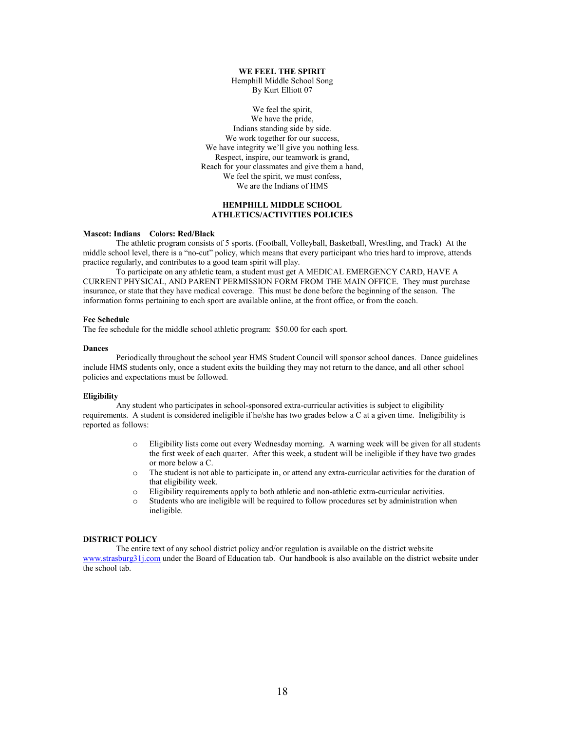#### **WE FEEL THE SPIRIT**

Hemphill Middle School Song By Kurt Elliott 07

We feel the spirit, We have the pride, Indians standing side by side. We work together for our success, We have integrity we'll give you nothing less. Respect, inspire, our teamwork is grand, Reach for your classmates and give them a hand, We feel the spirit, we must confess, We are the Indians of HMS

#### **HEMPHILL MIDDLE SCHOOL ATHLETICS/ACTIVITIES POLICIES**

#### **Mascot: Indians Colors: Red/Black**

The athletic program consists of 5 sports. (Football, Volleyball, Basketball, Wrestling, and Track) At the middle school level, there is a "no-cut" policy, which means that every participant who tries hard to improve, attends practice regularly, and contributes to a good team spirit will play.

To participate on any athletic team, a student must get A MEDICAL EMERGENCY CARD, HAVE A CURRENT PHYSICAL, AND PARENT PERMISSION FORM FROM THE MAIN OFFICE. They must purchase insurance, or state that they have medical coverage. This must be done before the beginning of the season. The information forms pertaining to each sport are available online, at the front office, or from the coach.

#### **Fee Schedule**

The fee schedule for the middle school athletic program: \$50.00 for each sport.

#### **Dances**

Periodically throughout the school year HMS Student Council will sponsor school dances. Dance guidelines include HMS students only, once a student exits the building they may not return to the dance, and all other school policies and expectations must be followed.

#### **Eligibility**

Any student who participates in school-sponsored extra-curricular activities is subject to eligibility requirements. A student is considered ineligible if he/she has two grades below a C at a given time. Ineligibility is reported as follows:

- o Eligibility lists come out every Wednesday morning. A warning week will be given for all students the first week of each quarter. After this week, a student will be ineligible if they have two grades or more below a C.
- o The student is not able to participate in, or attend any extra-curricular activities for the duration of that eligibility week.
- o Eligibility requirements apply to both athletic and non-athletic extra-curricular activities.
- o Students who are ineligible will be required to follow procedures set by administration when ineligible.

#### **DISTRICT POLICY**

The entire text of any school district policy and/or regulation is available on the district website [www.strasburg31j.com](http://www.strasburg31j.com/) under the Board of Education tab. Our handbook is also available on the district website under the school tab.